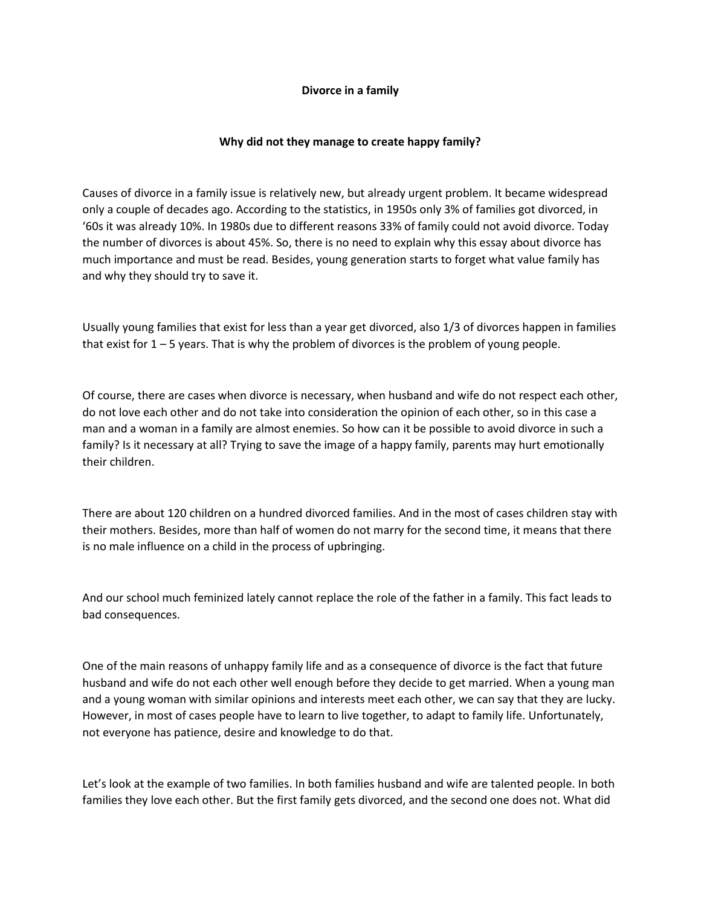## **Divorce in a family**

## **Why did not they manage to create happy family?**

Causes of divorce in a family issue is relatively new, but already urgent problem. It became widespread only a couple of decades ago. According to the statistics, in 1950s only 3% of families got divorced, in '60s it was already 10%. In 1980s due to different reasons 33% of family could not avoid divorce. Today the number of divorces is about 45%. So, there is no need to explain why this essay about divorce has much importance and must be read. Besides, young generation starts to forget what value family has and why they should try to save it.

Usually young families that exist for less than a year get divorced, also 1/3 of divorces happen in families that exist for 1 – 5 years. That is why the problem of divorces is the problem of young people.

Of course, there are cases when divorce is necessary, when husband and wife do not respect each other, do not love each other and do not take into consideration the opinion of each other, so in this case a man and a woman in a family are almost enemies. So how can it be possible to avoid divorce in such a family? Is it necessary at all? Trying to save the image of a happy family, parents may hurt emotionally their children.

There are about 120 children on a hundred divorced families. And in the most of cases children stay with their mothers. Besides, more than half of women do not marry for the second time, it means that there is no male influence on a child in the process of upbringing.

And our school much feminized lately cannot replace the role of the father in a family. This fact leads to bad consequences.

One of the main reasons of unhappy family life and as a consequence of divorce is the fact that future husband and wife do not each other well enough before they decide to get married. When a young man and a young woman with similar opinions and interests meet each other, we can say that they are lucky. However, in most of cases people have to learn to live together, to adapt to family life. Unfortunately, not everyone has patience, desire and knowledge to do that.

Let's look at the example of two families. In both families husband and wife are talented people. In both families they love each other. But the first family gets divorced, and the second one does not. What did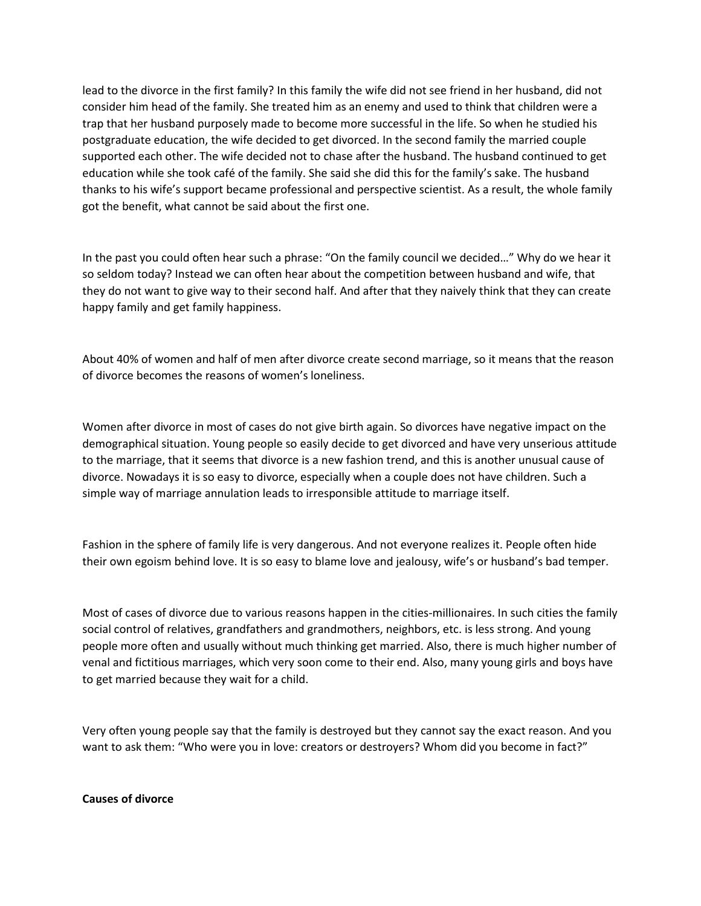lead to the divorce in the first family? In this family the wife did not see friend in her husband, did not consider him head of the family. She treated him as an enemy and used to think that children were a trap that her husband purposely made to become more successful in the life. So when he studied his postgraduate education, the wife decided to get divorced. In the second family the married couple supported each other. The wife decided not to chase after the husband. The husband continued to get education while she took café of the family. She said she did this for the family's sake. The husband thanks to his wife's support became professional and perspective scientist. As a result, the whole family got the benefit, what cannot be said about the first one.

In the past you could often hear such a phrase: "On the family council we decided…" Why do we hear it so seldom today? Instead we can often hear about the competition between husband and wife, that they do not want to give way to their second half. And after that they naively think that they can create happy family and get family happiness.

About 40% of women and half of men after divorce create second marriage, so it means that the reason of divorce becomes the reasons of women's loneliness.

Women after divorce in most of cases do not give birth again. So divorces have negative impact on the demographical situation. Young people so easily decide to get divorced and have very unserious attitude to the marriage, that it seems that divorce is a new fashion trend, and this is another unusual cause of divorce. Nowadays it is so easy to divorce, especially when a couple does not have children. Such a simple way of marriage annulation leads to irresponsible attitude to marriage itself.

Fashion in the sphere of family life is very dangerous. And not everyone realizes it. People often hide their own egoism behind love. It is so easy to blame love and jealousy, wife's or husband's bad temper.

Most of cases of divorce due to various reasons happen in the cities-millionaires. In such cities the family social control of relatives, grandfathers and grandmothers, neighbors, etc. is less strong. And young people more often and usually without much thinking get married. Also, there is much higher number of venal and fictitious marriages, which very soon come to their end. Also, many young girls and boys have to get married because they wait for a child.

Very often young people say that the family is destroyed but they cannot say the exact reason. And you want to ask them: "Who were you in love: creators or destroyers? Whom did you become in fact?"

**Causes of divorce**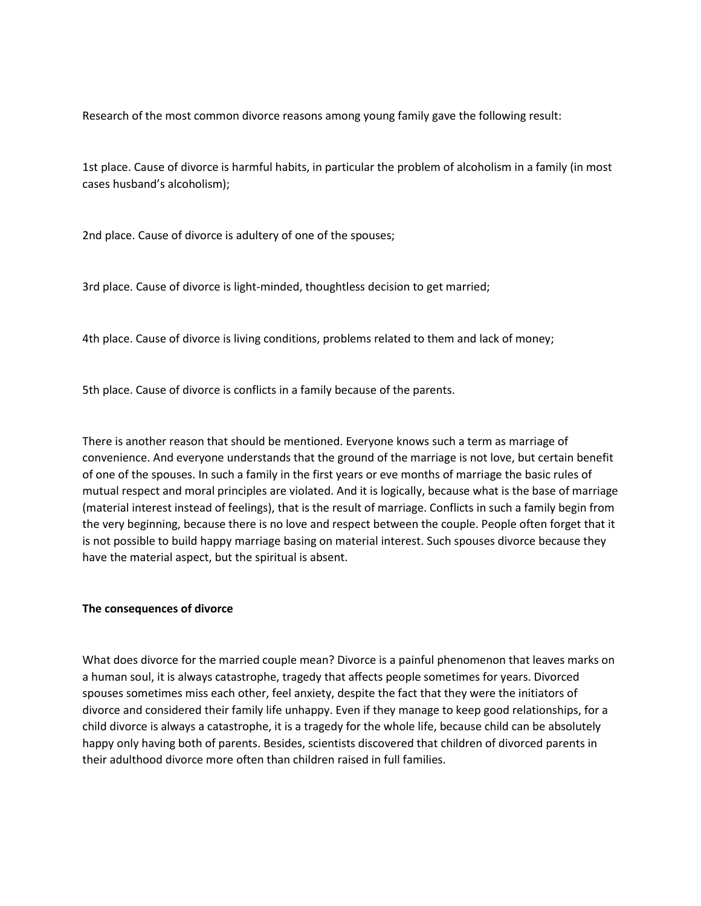Research of the most common divorce reasons among young family gave the following result:

1st place. Cause of divorce is harmful habits, in particular the problem of alcoholism in a family (in most cases husband's alcoholism);

2nd place. Cause of divorce is adultery of one of the spouses;

3rd place. Cause of divorce is light-minded, thoughtless decision to get married;

4th place. Cause of divorce is living conditions, problems related to them and lack of money;

5th place. Cause of divorce is conflicts in a family because of the parents.

There is another reason that should be mentioned. Everyone knows such a term as marriage of convenience. And everyone understands that the ground of the marriage is not love, but certain benefit of one of the spouses. In such a family in the first years or eve months of marriage the basic rules of mutual respect and moral principles are violated. And it is logically, because what is the base of marriage (material interest instead of feelings), that is the result of marriage. Conflicts in such a family begin from the very beginning, because there is no love and respect between the couple. People often forget that it is not possible to build happy marriage basing on material interest. Such spouses divorce because they have the material aspect, but the spiritual is absent.

## **The consequences of divorce**

What does divorce for the married couple mean? Divorce is a painful phenomenon that leaves marks on a human soul, it is always catastrophe, tragedy that affects people sometimes for years. Divorced spouses sometimes miss each other, feel anxiety, despite the fact that they were the initiators of divorce and considered their family life unhappy. Even if they manage to keep good relationships, for a child divorce is always a catastrophe, it is a tragedy for the whole life, because child can be absolutely happy only having both of parents. Besides, scientists discovered that children of divorced parents in their adulthood divorce more often than children raised in full families.